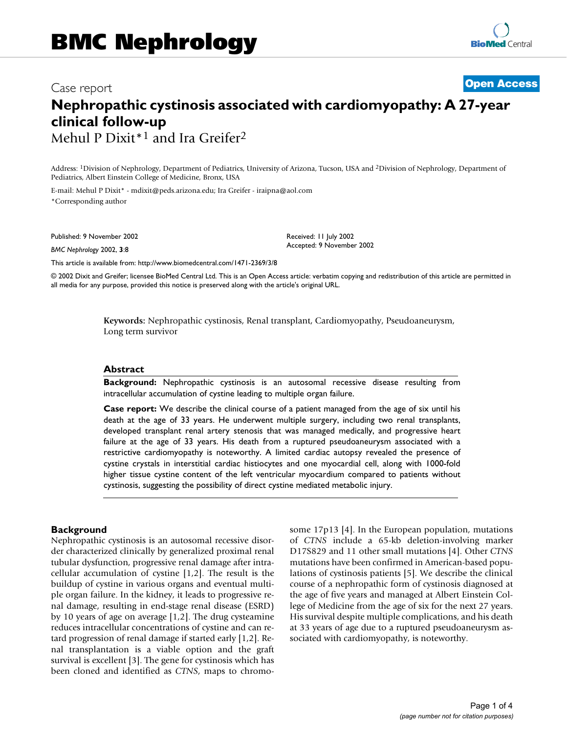# Case report **Case report** 2002, 3  $\sigma$  **[Open Access](http://www.biomedcentral.com/info/about/charter/)** Case report 3  $\sigma$ **Nephropathic cystinosis associated with cardiomyopathy: A 27-year clinical follow-up**

Mehul P Dixit<sup>\*1</sup> and Ira Greifer<sup>2</sup>

Address: 1Division of Nephrology, Department of Pediatrics, University of Arizona, Tucson, USA and 2Division of Nephrology, Department of Pediatrics, Albert Einstein College of Medicine, Bronx, USA

E-mail: Mehul P Dixit\* - mdixit@peds.arizona.edu; Ira Greifer - iraipna@aol.com \*Corresponding author

Published: 9 November 2002

*BMC Nephrology* 2002, **3**:8

Received: 11 July 2002 Accepted: 9 November 2002

[This article is available from: http://www.biomedcentral.com/1471-2369/3/8](http://www.biomedcentral.com/1471-2369/3/8)

© 2002 Dixit and Greifer; licensee BioMed Central Ltd. This is an Open Access article: verbatim copying and redistribution of this article are permitted in all media for any purpose, provided this notice is preserved along with the article's original URL.

> **Keywords:** Nephropathic cystinosis, Renal transplant, Cardiomyopathy, Pseudoaneurysm, Long term survivor

#### **Abstract**

**Background:** Nephropathic cystinosis is an autosomal recessive disease resulting from intracellular accumulation of cystine leading to multiple organ failure.

**Case report:** We describe the clinical course of a patient managed from the age of six until his death at the age of 33 years. He underwent multiple surgery, including two renal transplants, developed transplant renal artery stenosis that was managed medically, and progressive heart failure at the age of 33 years. His death from a ruptured pseudoaneurysm associated with a restrictive cardiomyopathy is noteworthy. A limited cardiac autopsy revealed the presence of cystine crystals in interstitial cardiac histiocytes and one myocardial cell, along with 1000-fold higher tissue cystine content of the left ventricular myocardium compared to patients without cystinosis, suggesting the possibility of direct cystine mediated metabolic injury.

## **Background**

Nephropathic cystinosis is an autosomal recessive disorder characterized clinically by generalized proximal renal tubular dysfunction, progressive renal damage after intracellular accumulation of cystine [1,2]. The result is the buildup of cystine in various organs and eventual multiple organ failure. In the kidney, it leads to progressive renal damage, resulting in end-stage renal disease (ESRD) by 10 years of age on average [1,2]. The drug cysteamine reduces intracellular concentrations of cystine and can retard progression of renal damage if started early [1,2]. Renal transplantation is a viable option and the graft survival is excellent [3]. The gene for cystinosis which has been cloned and identified as *CTNS*, maps to chromosome 17p13 [4]. In the European population, mutations of *CTNS* include a 65-kb deletion-involving marker D17S829 and 11 other small mutations [4]. Other *CTNS* mutations have been confirmed in American-based populations of cystinosis patients [5]. We describe the clinical course of a nephropathic form of cystinosis diagnosed at the age of five years and managed at Albert Einstein College of Medicine from the age of six for the next 27 years. His survival despite multiple complications, and his death at 33 years of age due to a ruptured pseudoaneurysm associated with cardiomyopathy, is noteworthy.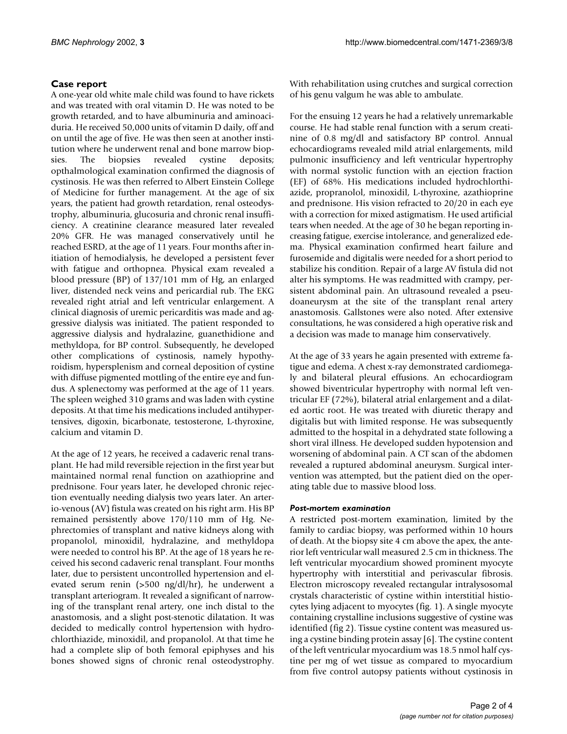# **Case report**

A one-year old white male child was found to have rickets and was treated with oral vitamin D. He was noted to be growth retarded, and to have albuminuria and aminoaciduria. He received 50,000 units of vitamin D daily, off and on until the age of five. He was then seen at another institution where he underwent renal and bone marrow biopsies. The biopsies revealed cystine deposits; opthalmological examination confirmed the diagnosis of cystinosis. He was then referred to Albert Einstein College of Medicine for further management. At the age of six years, the patient had growth retardation, renal osteodystrophy, albuminuria, glucosuria and chronic renal insufficiency. A creatinine clearance measured later revealed 20% GFR. He was managed conservatively until he reached ESRD, at the age of 11 years. Four months after initiation of hemodialysis, he developed a persistent fever with fatigue and orthopnea. Physical exam revealed a blood pressure (BP) of 137/101 mm of Hg, an enlarged liver, distended neck veins and pericardial rub. The EKG revealed right atrial and left ventricular enlargement. A clinical diagnosis of uremic pericarditis was made and aggressive dialysis was initiated. The patient responded to aggressive dialysis and hydralazine, guanethidione and methyldopa, for BP control. Subsequently, he developed other complications of cystinosis, namely hypothyroidism, hypersplenism and corneal deposition of cystine with diffuse pigmented mottling of the entire eye and fundus. A splenectomy was performed at the age of 11 years. The spleen weighed 310 grams and was laden with cystine deposits. At that time his medications included antihypertensives, digoxin, bicarbonate, testosterone, L-thyroxine, calcium and vitamin D.

At the age of 12 years, he received a cadaveric renal transplant. He had mild reversible rejection in the first year but maintained normal renal function on azathioprine and prednisone. Four years later, he developed chronic rejection eventually needing dialysis two years later. An arterio-venous (AV) fistula was created on his right arm. His BP remained persistently above 170/110 mm of Hg. Nephrectomies of transplant and native kidneys along with propanolol, minoxidil, hydralazine, and methyldopa were needed to control his BP. At the age of 18 years he received his second cadaveric renal transplant. Four months later, due to persistent uncontrolled hypertension and elevated serum renin (>500 ng/dl/hr), he underwent a transplant arteriogram. It revealed a significant of narrowing of the transplant renal artery, one inch distal to the anastomosis, and a slight post-stenotic dilatation. It was decided to medically control hypertension with hydrochlorthiazide, minoxidil, and propanolol. At that time he had a complete slip of both femoral epiphyses and his bones showed signs of chronic renal osteodystrophy.

With rehabilitation using crutches and surgical correction of his genu valgum he was able to ambulate.

For the ensuing 12 years he had a relatively unremarkable course. He had stable renal function with a serum creatinine of 0.8 mg/dl and satisfactory BP control. Annual echocardiograms revealed mild atrial enlargements, mild pulmonic insufficiency and left ventricular hypertrophy with normal systolic function with an ejection fraction (EF) of 68%. His medications included hydrochlorthiazide, propranolol, minoxidil, L-thyroxine, azathioprine and prednisone. His vision refracted to 20/20 in each eye with a correction for mixed astigmatism. He used artificial tears when needed. At the age of 30 he began reporting increasing fatigue, exercise intolerance, and generalized edema. Physical examination confirmed heart failure and furosemide and digitalis were needed for a short period to stabilize his condition. Repair of a large AV fistula did not alter his symptoms. He was readmitted with crampy, persistent abdominal pain. An ultrasound revealed a pseudoaneurysm at the site of the transplant renal artery anastomosis. Gallstones were also noted. After extensive consultations, he was considered a high operative risk and a decision was made to manage him conservatively.

At the age of 33 years he again presented with extreme fatigue and edema. A chest x-ray demonstrated cardiomegaly and bilateral pleural effusions. An echocardiogram showed biventricular hypertrophy with normal left ventricular EF (72%), bilateral atrial enlargement and a dilated aortic root. He was treated with diuretic therapy and digitalis but with limited response. He was subsequently admitted to the hospital in a dehydrated state following a short viral illness. He developed sudden hypotension and worsening of abdominal pain. A CT scan of the abdomen revealed a ruptured abdominal aneurysm. Surgical intervention was attempted, but the patient died on the operating table due to massive blood loss.

## *Post-mortem examination*

A restricted post-mortem examination, limited by the family to cardiac biopsy, was performed within 10 hours of death. At the biopsy site 4 cm above the apex, the anterior left ventricular wall measured 2.5 cm in thickness. The left ventricular myocardium showed prominent myocyte hypertrophy with interstitial and perivascular fibrosis. Electron microscopy revealed rectangular intralysosomal crystals characteristic of cystine within interstitial histiocytes lying adjacent to myocytes (fig. 1). A single myocyte containing crystalline inclusions suggestive of cystine was identified (fig 2). Tissue cystine content was measured using a cystine binding protein assay [6]. The cystine content of the left ventricular myocardium was 18.5 nmol half cystine per mg of wet tissue as compared to myocardium from five control autopsy patients without cystinosis in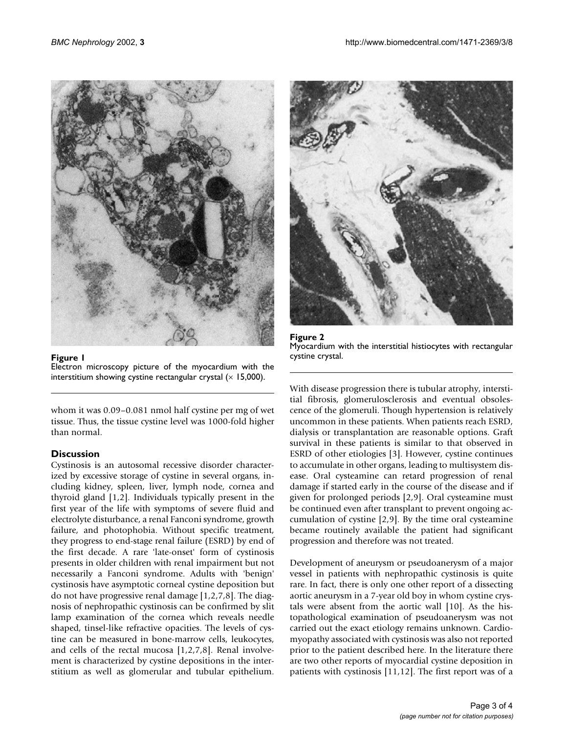

**Figure 1**

Electron microscopy picture of the myocardium with the interstitium showing cystine rectangular crystal  $(x | 5,000)$ .

whom it was 0.09–0.081 nmol half cystine per mg of wet tissue. Thus, the tissue cystine level was 1000-fold higher than normal.

## **Discussion**

Cystinosis is an autosomal recessive disorder characterized by excessive storage of cystine in several organs, including kidney, spleen, liver, lymph node, cornea and thyroid gland [1,2]. Individuals typically present in the first year of the life with symptoms of severe fluid and electrolyte disturbance, a renal Fanconi syndrome, growth failure, and photophobia. Without specific treatment, they progress to end-stage renal failure (ESRD) by end of the first decade. A rare 'late-onset' form of cystinosis presents in older children with renal impairment but not necessarily a Fanconi syndrome. Adults with 'benign' cystinosis have asymptotic corneal cystine deposition but do not have progressive renal damage [1,2,7,8]. The diagnosis of nephropathic cystinosis can be confirmed by slit lamp examination of the cornea which reveals needle shaped, tinsel-like refractive opacities. The levels of cystine can be measured in bone-marrow cells, leukocytes, and cells of the rectal mucosa [1,2,7,8]. Renal involvement is characterized by cystine depositions in the interstitium as well as glomerular and tubular epithelium.





With disease progression there is tubular atrophy, interstitial fibrosis, glomerulosclerosis and eventual obsolescence of the glomeruli. Though hypertension is relatively uncommon in these patients. When patients reach ESRD, dialysis or transplantation are reasonable options. Graft survival in these patients is similar to that observed in ESRD of other etiologies [3]. However, cystine continues to accumulate in other organs, leading to multisystem disease. Oral cysteamine can retard progression of renal damage if started early in the course of the disease and if given for prolonged periods [2,9]. Oral cysteamine must be continued even after transplant to prevent ongoing accumulation of cystine [2,9]. By the time oral cysteamine became routinely available the patient had significant progression and therefore was not treated.

Development of aneurysm or pseudoanerysm of a major vessel in patients with nephropathic cystinosis is quite rare. In fact, there is only one other report of a dissecting aortic aneurysm in a 7-year old boy in whom cystine crystals were absent from the aortic wall [10]. As the histopathological examination of pseudoanerysm was not carried out the exact etiology remains unknown. Cardiomyopathy associated with cystinosis was also not reported prior to the patient described here. In the literature there are two other reports of myocardial cystine deposition in patients with cystinosis [11,12]. The first report was of a